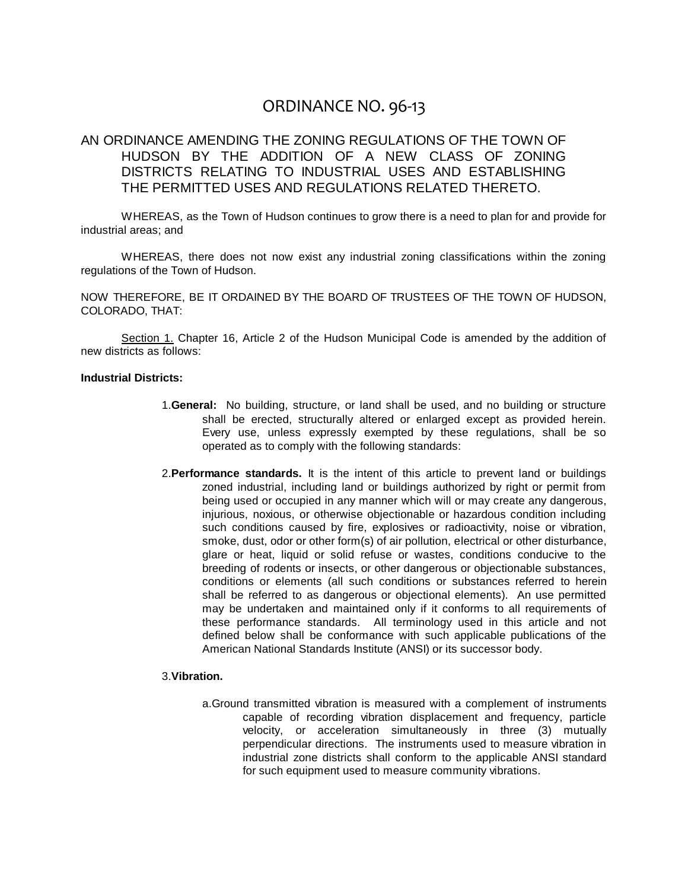# ORDINANCE NO. 96-13

# AN ORDINANCE AMENDING THE ZONING REGULATIONS OF THE TOWN OF HUDSON BY THE ADDITION OF A NEW CLASS OF ZONING DISTRICTS RELATING TO INDUSTRIAL USES AND ESTABLISHING THE PERMITTED USES AND REGULATIONS RELATED THERETO.

WHEREAS, as the Town of Hudson continues to grow there is a need to plan for and provide for industrial areas; and

WHEREAS, there does not now exist any industrial zoning classifications within the zoning regulations of the Town of Hudson.

NOW THEREFORE, BE IT ORDAINED BY THE BOARD OF TRUSTEES OF THE TOWN OF HUDSON, COLORADO, THAT:

Section 1. Chapter 16, Article 2 of the Hudson Municipal Code is amended by the addition of new districts as follows:

#### **Industrial Districts:**

- 1.**General:** No building, structure, or land shall be used, and no building or structure shall be erected, structurally altered or enlarged except as provided herein. Every use, unless expressly exempted by these regulations, shall be so operated as to comply with the following standards:
- 2.**Performance standards.** It is the intent of this article to prevent land or buildings zoned industrial, including land or buildings authorized by right or permit from being used or occupied in any manner which will or may create any dangerous, injurious, noxious, or otherwise objectionable or hazardous condition including such conditions caused by fire, explosives or radioactivity, noise or vibration, smoke, dust, odor or other form(s) of air pollution, electrical or other disturbance, glare or heat, liquid or solid refuse or wastes, conditions conducive to the breeding of rodents or insects, or other dangerous or objectionable substances, conditions or elements (all such conditions or substances referred to herein shall be referred to as dangerous or objectional elements). An use permitted may be undertaken and maintained only if it conforms to all requirements of these performance standards. All terminology used in this article and not defined below shall be conformance with such applicable publications of the American National Standards Institute (ANSI) or its successor body.

#### 3.**Vibration.**

a.Ground transmitted vibration is measured with a complement of instruments capable of recording vibration displacement and frequency, particle velocity, or acceleration simultaneously in three (3) mutually perpendicular directions. The instruments used to measure vibration in industrial zone districts shall conform to the applicable ANSI standard for such equipment used to measure community vibrations.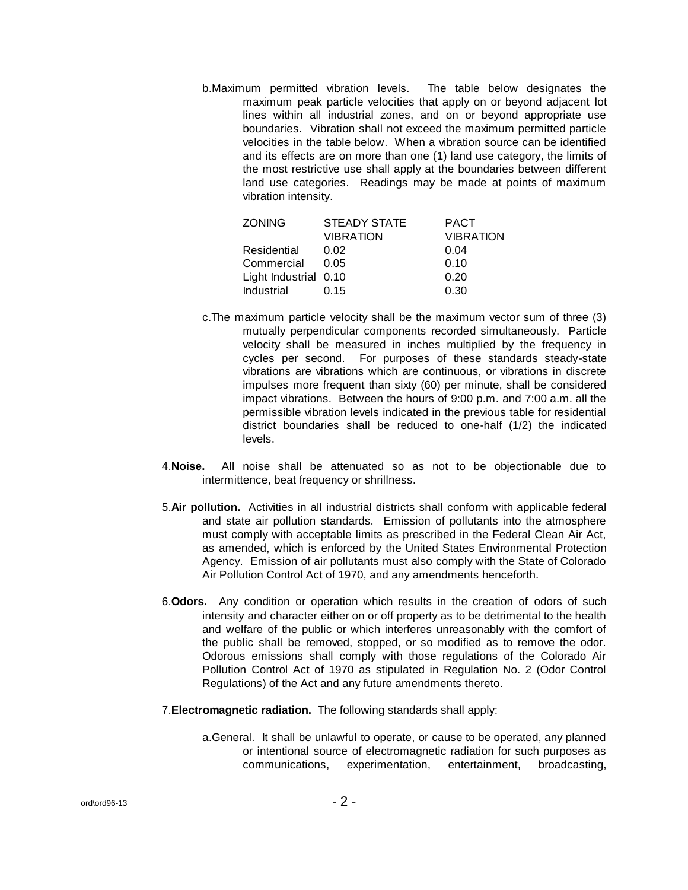b.Maximum permitted vibration levels. The table below designates the maximum peak particle velocities that apply on or beyond adjacent lot lines within all industrial zones, and on or beyond appropriate use boundaries. Vibration shall not exceed the maximum permitted particle velocities in the table below. When a vibration source can be identified and its effects are on more than one (1) land use category, the limits of the most restrictive use shall apply at the boundaries between different land use categories. Readings may be made at points of maximum vibration intensity.

| <b>ZONING</b>         | <b>STEADY STATE</b> | <b>PACT</b>      |
|-----------------------|---------------------|------------------|
|                       | <b>VIBRATION</b>    | <b>VIBRATION</b> |
| Residential           | 0.02                | 0.04             |
| Commercial            | 0.05                | 0.10             |
| Light Industrial 0.10 |                     | 0.20             |
| Industrial            | 0.15                | 0.30             |

- c.The maximum particle velocity shall be the maximum vector sum of three (3) mutually perpendicular components recorded simultaneously. Particle velocity shall be measured in inches multiplied by the frequency in cycles per second. For purposes of these standards steady-state vibrations are vibrations which are continuous, or vibrations in discrete impulses more frequent than sixty (60) per minute, shall be considered impact vibrations. Between the hours of 9:00 p.m. and 7:00 a.m. all the permissible vibration levels indicated in the previous table for residential district boundaries shall be reduced to one-half (1/2) the indicated levels.
- 4.**Noise.** All noise shall be attenuated so as not to be objectionable due to intermittence, beat frequency or shrillness.
- 5.**Air pollution.** Activities in all industrial districts shall conform with applicable federal and state air pollution standards. Emission of pollutants into the atmosphere must comply with acceptable limits as prescribed in the Federal Clean Air Act, as amended, which is enforced by the United States Environmental Protection Agency. Emission of air pollutants must also comply with the State of Colorado Air Pollution Control Act of 1970, and any amendments henceforth.
- 6.**Odors.** Any condition or operation which results in the creation of odors of such intensity and character either on or off property as to be detrimental to the health and welfare of the public or which interferes unreasonably with the comfort of the public shall be removed, stopped, or so modified as to remove the odor. Odorous emissions shall comply with those regulations of the Colorado Air Pollution Control Act of 1970 as stipulated in Regulation No. 2 (Odor Control Regulations) of the Act and any future amendments thereto.
- 7.**Electromagnetic radiation.** The following standards shall apply:
	- a.General. It shall be unlawful to operate, or cause to be operated, any planned or intentional source of electromagnetic radiation for such purposes as communications, experimentation, entertainment, broadcasting,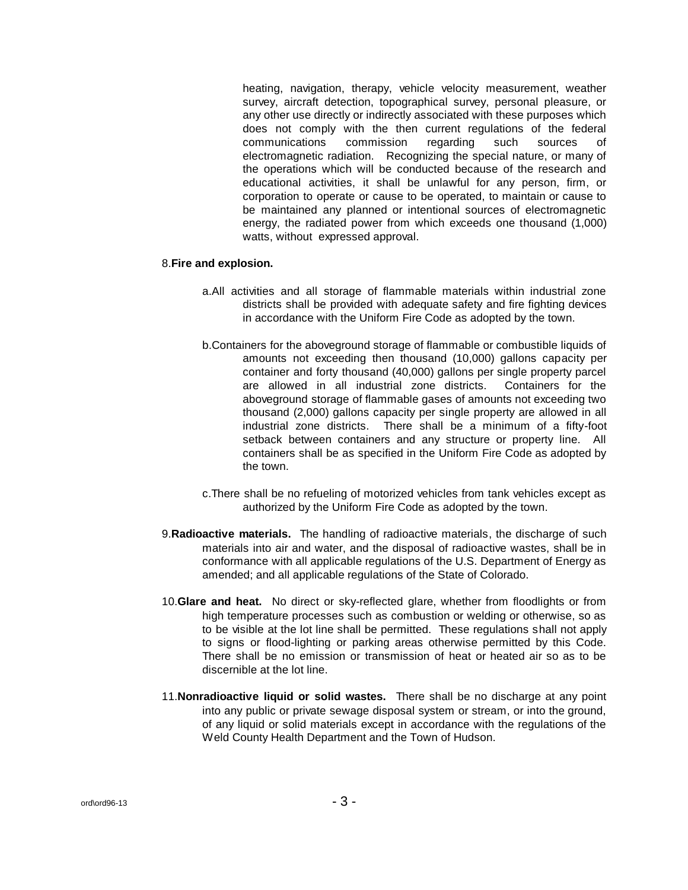heating, navigation, therapy, vehicle velocity measurement, weather survey, aircraft detection, topographical survey, personal pleasure, or any other use directly or indirectly associated with these purposes which does not comply with the then current regulations of the federal communications commission regarding such sources of electromagnetic radiation. Recognizing the special nature, or many of the operations which will be conducted because of the research and educational activities, it shall be unlawful for any person, firm, or corporation to operate or cause to be operated, to maintain or cause to be maintained any planned or intentional sources of electromagnetic energy, the radiated power from which exceeds one thousand (1,000) watts, without expressed approval.

#### 8.**Fire and explosion.**

- a.All activities and all storage of flammable materials within industrial zone districts shall be provided with adequate safety and fire fighting devices in accordance with the Uniform Fire Code as adopted by the town.
- b.Containers for the aboveground storage of flammable or combustible liquids of amounts not exceeding then thousand (10,000) gallons capacity per container and forty thousand (40,000) gallons per single property parcel are allowed in all industrial zone districts. Containers for the aboveground storage of flammable gases of amounts not exceeding two thousand (2,000) gallons capacity per single property are allowed in all industrial zone districts. There shall be a minimum of a fifty-foot setback between containers and any structure or property line. All containers shall be as specified in the Uniform Fire Code as adopted by the town.
- c.There shall be no refueling of motorized vehicles from tank vehicles except as authorized by the Uniform Fire Code as adopted by the town.
- 9.**Radioactive materials.** The handling of radioactive materials, the discharge of such materials into air and water, and the disposal of radioactive wastes, shall be in conformance with all applicable regulations of the U.S. Department of Energy as amended; and all applicable regulations of the State of Colorado.
- 10.**Glare and heat.** No direct or sky-reflected glare, whether from floodlights or from high temperature processes such as combustion or welding or otherwise, so as to be visible at the lot line shall be permitted. These regulations shall not apply to signs or flood-lighting or parking areas otherwise permitted by this Code. There shall be no emission or transmission of heat or heated air so as to be discernible at the lot line.
- 11.**Nonradioactive liquid or solid wastes.** There shall be no discharge at any point into any public or private sewage disposal system or stream, or into the ground, of any liquid or solid materials except in accordance with the regulations of the Weld County Health Department and the Town of Hudson.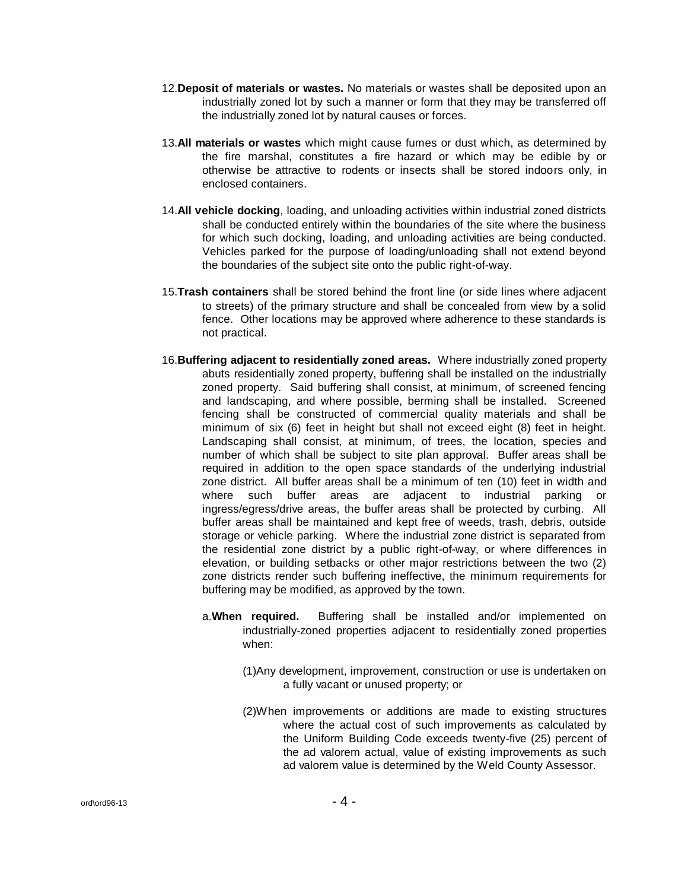- 12.**Deposit of materials or wastes.** No materials or wastes shall be deposited upon an industrially zoned lot by such a manner or form that they may be transferred off the industrially zoned lot by natural causes or forces.
- 13.**All materials or wastes** which might cause fumes or dust which, as determined by the fire marshal, constitutes a fire hazard or which may be edible by or otherwise be attractive to rodents or insects shall be stored indoors only, in enclosed containers.
- 14.**All vehicle docking**, loading, and unloading activities within industrial zoned districts shall be conducted entirely within the boundaries of the site where the business for which such docking, loading, and unloading activities are being conducted. Vehicles parked for the purpose of loading/unloading shall not extend beyond the boundaries of the subject site onto the public right-of-way.
- 15.**Trash containers** shall be stored behind the front line (or side lines where adjacent to streets) of the primary structure and shall be concealed from view by a solid fence. Other locations may be approved where adherence to these standards is not practical.
- 16.**Buffering adjacent to residentially zoned areas.** Where industrially zoned property abuts residentially zoned property, buffering shall be installed on the industrially zoned property. Said buffering shall consist, at minimum, of screened fencing and landscaping, and where possible, berming shall be installed. Screened fencing shall be constructed of commercial quality materials and shall be minimum of six (6) feet in height but shall not exceed eight (8) feet in height. Landscaping shall consist, at minimum, of trees, the location, species and number of which shall be subject to site plan approval. Buffer areas shall be required in addition to the open space standards of the underlying industrial zone district. All buffer areas shall be a minimum of ten (10) feet in width and where such buffer areas are adjacent to industrial parking or ingress/egress/drive areas, the buffer areas shall be protected by curbing. All buffer areas shall be maintained and kept free of weeds, trash, debris, outside storage or vehicle parking. Where the industrial zone district is separated from the residential zone district by a public right-of-way, or where differences in elevation, or building setbacks or other major restrictions between the two (2) zone districts render such buffering ineffective, the minimum requirements for buffering may be modified, as approved by the town.
	- a.**When required.** Buffering shall be installed and/or implemented on industrially-zoned properties adjacent to residentially zoned properties when:
		- (1)Any development, improvement, construction or use is undertaken on a fully vacant or unused property; or
		- (2)When improvements or additions are made to existing structures where the actual cost of such improvements as calculated by the Uniform Building Code exceeds twenty-five (25) percent of the ad valorem actual, value of existing improvements as such ad valorem value is determined by the Weld County Assessor.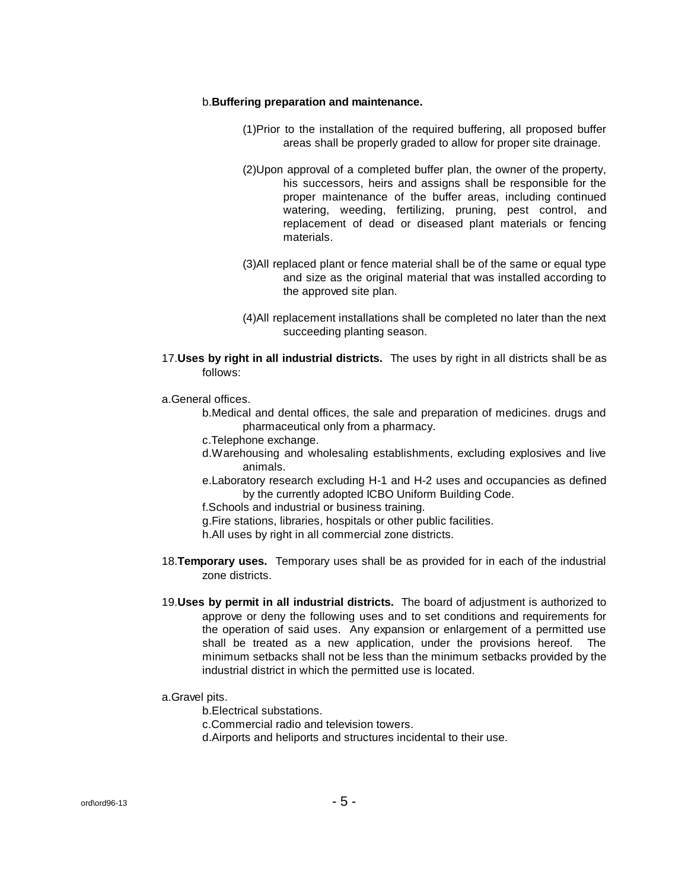#### b.**Buffering preparation and maintenance.**

- (1)Prior to the installation of the required buffering, all proposed buffer areas shall be properly graded to allow for proper site drainage.
- (2)Upon approval of a completed buffer plan, the owner of the property, his successors, heirs and assigns shall be responsible for the proper maintenance of the buffer areas, including continued watering, weeding, fertilizing, pruning, pest control, and replacement of dead or diseased plant materials or fencing materials.
- (3)All replaced plant or fence material shall be of the same or equal type and size as the original material that was installed according to the approved site plan.
- (4)All replacement installations shall be completed no later than the next succeeding planting season.
- 17.**Uses by right in all industrial districts.** The uses by right in all districts shall be as follows:
- a.General offices.
	- b.Medical and dental offices, the sale and preparation of medicines. drugs and pharmaceutical only from a pharmacy.
	- c.Telephone exchange.
	- d.Warehousing and wholesaling establishments, excluding explosives and live animals.
	- e.Laboratory research excluding H-1 and H-2 uses and occupancies as defined by the currently adopted ICBO Uniform Building Code.

f.Schools and industrial or business training.

g.Fire stations, libraries, hospitals or other public facilities.

h.All uses by right in all commercial zone districts.

- 18.**Temporary uses.** Temporary uses shall be as provided for in each of the industrial zone districts.
- 19.**Uses by permit in all industrial districts.** The board of adjustment is authorized to approve or deny the following uses and to set conditions and requirements for the operation of said uses. Any expansion or enlargement of a permitted use shall be treated as a new application, under the provisions hereof. The minimum setbacks shall not be less than the minimum setbacks provided by the industrial district in which the permitted use is located.
- a.Gravel pits.

b.Electrical substations.

c.Commercial radio and television towers.

d.Airports and heliports and structures incidental to their use.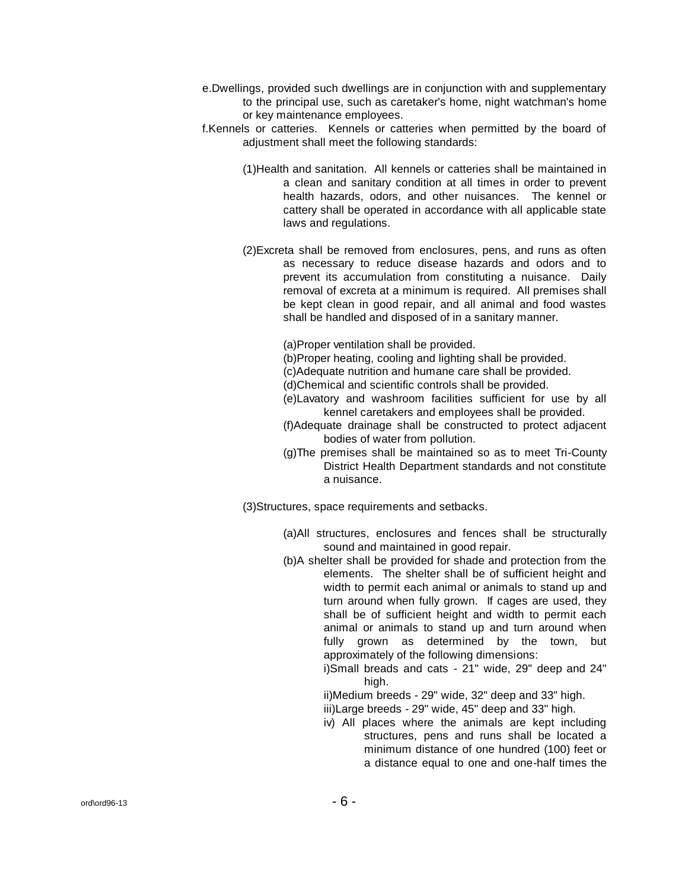- e.Dwellings, provided such dwellings are in conjunction with and supplementary to the principal use, such as caretaker's home, night watchman's home or key maintenance employees.
- f.Kennels or catteries. Kennels or catteries when permitted by the board of adjustment shall meet the following standards:
	- (1)Health and sanitation. All kennels or catteries shall be maintained in a clean and sanitary condition at all times in order to prevent health hazards, odors, and other nuisances. The kennel or cattery shall be operated in accordance with all applicable state laws and regulations.
	- (2)Excreta shall be removed from enclosures, pens, and runs as often as necessary to reduce disease hazards and odors and to prevent its accumulation from constituting a nuisance. Daily removal of excreta at a minimum is required. All premises shall be kept clean in good repair, and all animal and food wastes shall be handled and disposed of in a sanitary manner.

(a)Proper ventilation shall be provided.

(b)Proper heating, cooling and lighting shall be provided.

(c)Adequate nutrition and humane care shall be provided.

(d)Chemical and scientific controls shall be provided.

- (e)Lavatory and washroom facilities sufficient for use by all kennel caretakers and employees shall be provided.
- (f)Adequate drainage shall be constructed to protect adjacent bodies of water from pollution.
- (g)The premises shall be maintained so as to meet Tri-County District Health Department standards and not constitute a nuisance.

(3)Structures, space requirements and setbacks.

- (a)All structures, enclosures and fences shall be structurally sound and maintained in good repair.
- (b)A shelter shall be provided for shade and protection from the elements. The shelter shall be of sufficient height and width to permit each animal or animals to stand up and turn around when fully grown. If cages are used, they shall be of sufficient height and width to permit each animal or animals to stand up and turn around when fully grown as determined by the town, but approximately of the following dimensions:
	- i)Small breads and cats 21" wide, 29" deep and 24" high.

ii)Medium breeds - 29" wide, 32" deep and 33" high. iii)Large breeds - 29" wide, 45" deep and 33" high.

iv) All places where the animals are kept including structures, pens and runs shall be located a minimum distance of one hundred (100) feet or a distance equal to one and one-half times the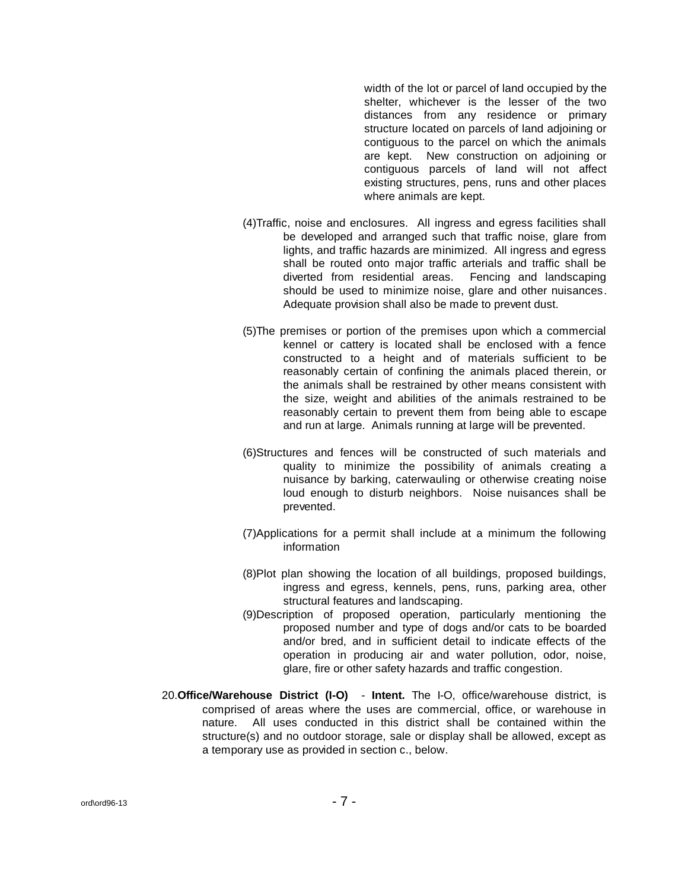width of the lot or parcel of land occupied by the shelter, whichever is the lesser of the two distances from any residence or primary structure located on parcels of land adjoining or contiguous to the parcel on which the animals are kept. New construction on adjoining or contiguous parcels of land will not affect existing structures, pens, runs and other places where animals are kept.

- (4)Traffic, noise and enclosures. All ingress and egress facilities shall be developed and arranged such that traffic noise, glare from lights, and traffic hazards are minimized. All ingress and egress shall be routed onto major traffic arterials and traffic shall be diverted from residential areas. Fencing and landscaping should be used to minimize noise, glare and other nuisances. Adequate provision shall also be made to prevent dust.
- (5)The premises or portion of the premises upon which a commercial kennel or cattery is located shall be enclosed with a fence constructed to a height and of materials sufficient to be reasonably certain of confining the animals placed therein, or the animals shall be restrained by other means consistent with the size, weight and abilities of the animals restrained to be reasonably certain to prevent them from being able to escape and run at large. Animals running at large will be prevented.
- (6)Structures and fences will be constructed of such materials and quality to minimize the possibility of animals creating a nuisance by barking, caterwauling or otherwise creating noise loud enough to disturb neighbors. Noise nuisances shall be prevented.
- (7)Applications for a permit shall include at a minimum the following information
- (8)Plot plan showing the location of all buildings, proposed buildings, ingress and egress, kennels, pens, runs, parking area, other structural features and landscaping.
- (9)Description of proposed operation, particularly mentioning the proposed number and type of dogs and/or cats to be boarded and/or bred, and in sufficient detail to indicate effects of the operation in producing air and water pollution, odor, noise, glare, fire or other safety hazards and traffic congestion.
- 20.**Office/Warehouse District (I-O) Intent.** The I-O, office/warehouse district, is comprised of areas where the uses are commercial, office, or warehouse in nature. All uses conducted in this district shall be contained within the structure(s) and no outdoor storage, sale or display shall be allowed, except as a temporary use as provided in section c., below.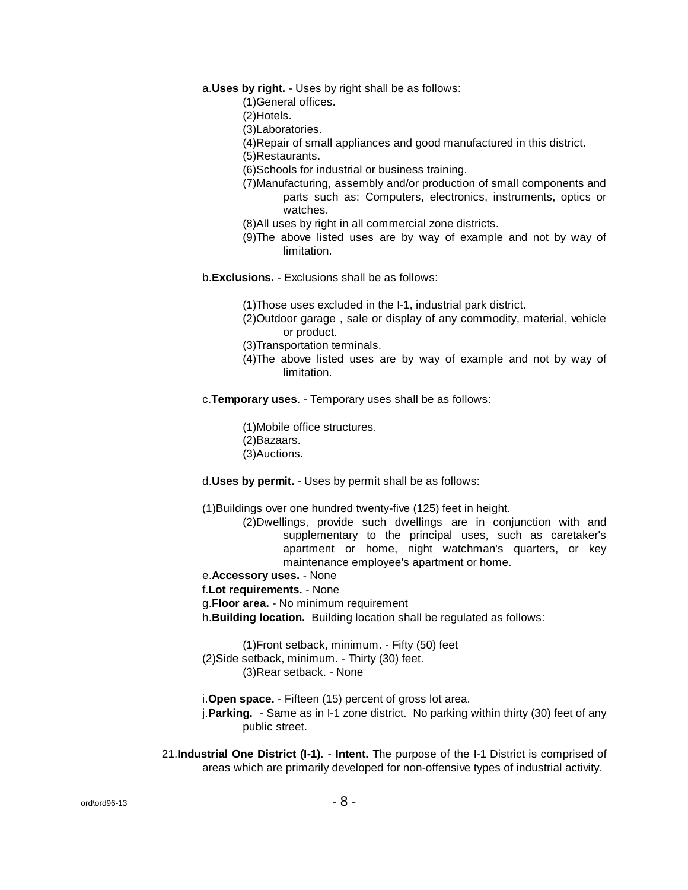a.**Uses by right.** - Uses by right shall be as follows:

(1)General offices.

(2)Hotels.

(3)Laboratories.

(4)Repair of small appliances and good manufactured in this district.

(5)Restaurants.

(6)Schools for industrial or business training.

(7)Manufacturing, assembly and/or production of small components and parts such as: Computers, electronics, instruments, optics or watches.

- (8)All uses by right in all commercial zone districts.
- (9)The above listed uses are by way of example and not by way of limitation.

b.**Exclusions.** - Exclusions shall be as follows:

(1)Those uses excluded in the I-1, industrial park district.

(2)Outdoor garage , sale or display of any commodity, material, vehicle or product.

- (3)Transportation terminals.
- (4)The above listed uses are by way of example and not by way of limitation.

c.**Temporary uses**. - Temporary uses shall be as follows:

(1)Mobile office structures. (2)Bazaars. (3)Auctions.

d.**Uses by permit.** - Uses by permit shall be as follows:

(1)Buildings over one hundred twenty-five (125) feet in height.

(2)Dwellings, provide such dwellings are in conjunction with and supplementary to the principal uses, such as caretaker's apartment or home, night watchman's quarters, or key maintenance employee's apartment or home.

e.**Accessory uses.** - None

f.**Lot requirements.** - None

g.**Floor area.** - No minimum requirement

h.**Building location.** Building location shall be regulated as follows:

(1)Front setback, minimum. - Fifty (50) feet (2)Side setback, minimum. - Thirty (30) feet. (3)Rear setback. - None

i.**Open space.** - Fifteen (15) percent of gross lot area.

j.**Parking.** - Same as in I-1 zone district. No parking within thirty (30) feet of any public street.

21.**Industrial One District (I-1)**. - **Intent.** The purpose of the I-1 District is comprised of areas which are primarily developed for non-offensive types of industrial activity.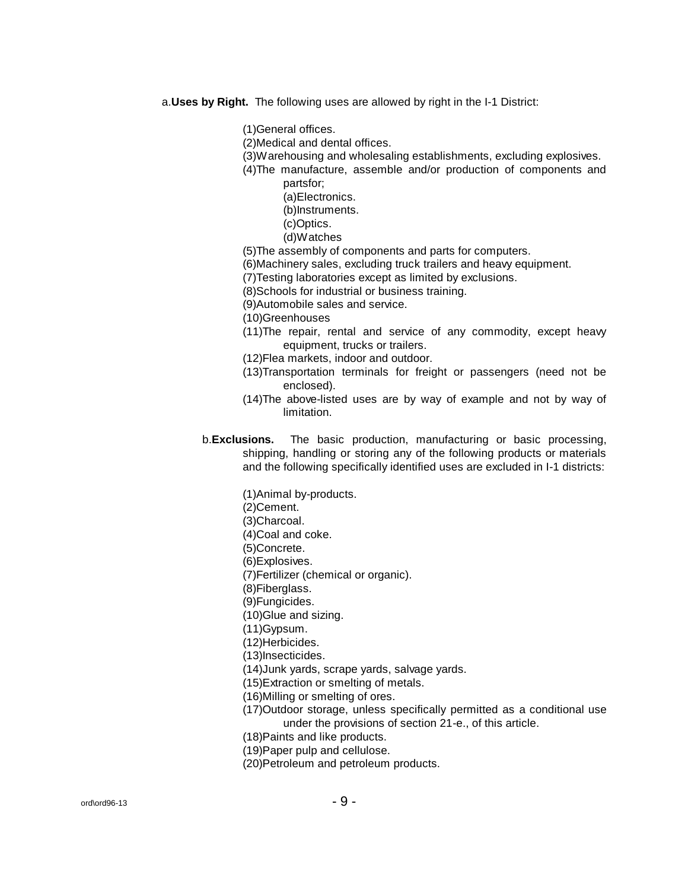a.**Uses by Right.** The following uses are allowed by right in the I-1 District:

(1)General offices.

- (2)Medical and dental offices.
- (3)Warehousing and wholesaling establishments, excluding explosives.
- (4)The manufacture, assemble and/or production of components and partsfor;
	- (a)Electronics.
	- (b)Instruments.
	- (c)Optics.
	- (d)Watches
- (5)The assembly of components and parts for computers.
- (6)Machinery sales, excluding truck trailers and heavy equipment.
- (7)Testing laboratories except as limited by exclusions.
- (8)Schools for industrial or business training.
- (9)Automobile sales and service.

(10)Greenhouses

- (11)The repair, rental and service of any commodity, except heavy equipment, trucks or trailers.
- (12)Flea markets, indoor and outdoor.
- (13)Transportation terminals for freight or passengers (need not be enclosed).
- (14)The above-listed uses are by way of example and not by way of limitation.
- b.**Exclusions.** The basic production, manufacturing or basic processing, shipping, handling or storing any of the following products or materials and the following specifically identified uses are excluded in I-1 districts:

(1)Animal by-products.

- (2)Cement.
- (3)Charcoal.
- (4)Coal and coke.
- (5)Concrete.
- (6)Explosives.
- (7)Fertilizer (chemical or organic).
- (8)Fiberglass.
- (9)Fungicides.
- (10)Glue and sizing.
- (11)Gypsum.
- (12)Herbicides.
- (13)Insecticides.
- (14)Junk yards, scrape yards, salvage yards.
- (15)Extraction or smelting of metals.
- (16)Milling or smelting of ores.
- (17)Outdoor storage, unless specifically permitted as a conditional use under the provisions of section 21-e., of this article.
- (18)Paints and like products.
- (19)Paper pulp and cellulose.
- (20)Petroleum and petroleum products.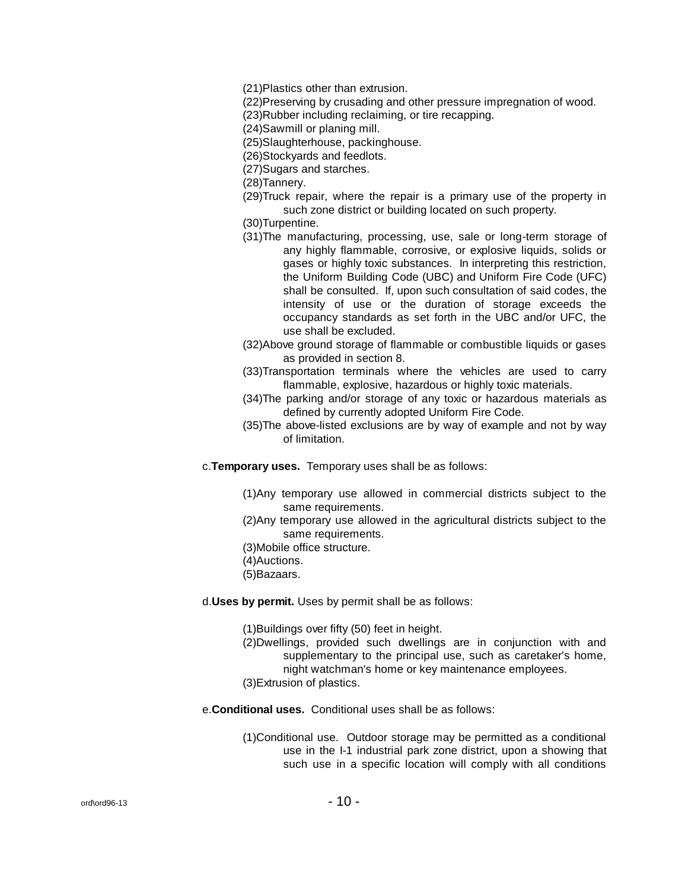(21)Plastics other than extrusion.

(22)Preserving by crusading and other pressure impregnation of wood.

(23)Rubber including reclaiming, or tire recapping.

(24)Sawmill or planing mill.

- (25)Slaughterhouse, packinghouse.
- (26)Stockyards and feedlots.
- (27)Sugars and starches.

(28)Tannery.

(29)Truck repair, where the repair is a primary use of the property in such zone district or building located on such property.

(30)Turpentine.

- (31)The manufacturing, processing, use, sale or long-term storage of any highly flammable, corrosive, or explosive liquids, solids or gases or highly toxic substances. In interpreting this restriction, the Uniform Building Code (UBC) and Uniform Fire Code (UFC) shall be consulted. If, upon such consultation of said codes, the intensity of use or the duration of storage exceeds the occupancy standards as set forth in the UBC and/or UFC, the use shall be excluded.
- (32)Above ground storage of flammable or combustible liquids or gases as provided in section 8.
- (33)Transportation terminals where the vehicles are used to carry flammable, explosive, hazardous or highly toxic materials.
- (34)The parking and/or storage of any toxic or hazardous materials as defined by currently adopted Uniform Fire Code.
- (35)The above-listed exclusions are by way of example and not by way of limitation.
- c.**Temporary uses.** Temporary uses shall be as follows:
	- (1)Any temporary use allowed in commercial districts subject to the same requirements.
	- (2)Any temporary use allowed in the agricultural districts subject to the same requirements.
	- (3)Mobile office structure.
	- (4)Auctions.
	- (5)Bazaars.

d.**Uses by permit.** Uses by permit shall be as follows:

(1)Buildings over fifty (50) feet in height.

- (2)Dwellings, provided such dwellings are in conjunction with and supplementary to the principal use, such as caretaker's home, night watchman's home or key maintenance employees.
- (3)Extrusion of plastics.
- e.**Conditional uses.** Conditional uses shall be as follows:
	- (1)Conditional use. Outdoor storage may be permitted as a conditional use in the I-1 industrial park zone district, upon a showing that such use in a specific location will comply with all conditions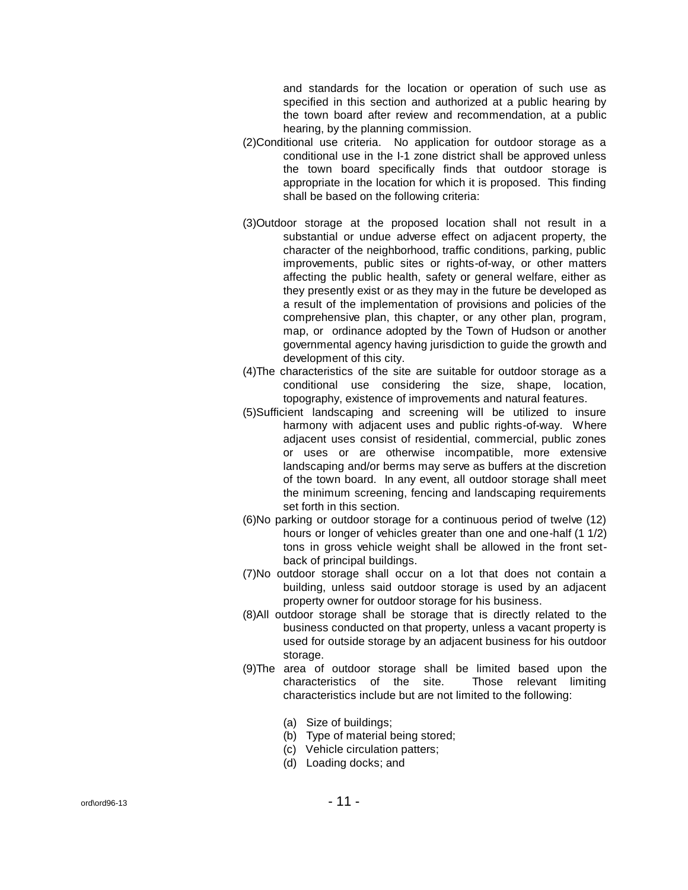and standards for the location or operation of such use as specified in this section and authorized at a public hearing by the town board after review and recommendation, at a public hearing, by the planning commission.

- (2)Conditional use criteria. No application for outdoor storage as a conditional use in the I-1 zone district shall be approved unless the town board specifically finds that outdoor storage is appropriate in the location for which it is proposed. This finding shall be based on the following criteria:
- (3)Outdoor storage at the proposed location shall not result in a substantial or undue adverse effect on adjacent property, the character of the neighborhood, traffic conditions, parking, public improvements, public sites or rights-of-way, or other matters affecting the public health, safety or general welfare, either as they presently exist or as they may in the future be developed as a result of the implementation of provisions and policies of the comprehensive plan, this chapter, or any other plan, program, map, or ordinance adopted by the Town of Hudson or another governmental agency having jurisdiction to guide the growth and development of this city.
- (4)The characteristics of the site are suitable for outdoor storage as a conditional use considering the size, shape, location, topography, existence of improvements and natural features.
- (5)Sufficient landscaping and screening will be utilized to insure harmony with adjacent uses and public rights-of-way. Where adjacent uses consist of residential, commercial, public zones or uses or are otherwise incompatible, more extensive landscaping and/or berms may serve as buffers at the discretion of the town board. In any event, all outdoor storage shall meet the minimum screening, fencing and landscaping requirements set forth in this section.
- (6)No parking or outdoor storage for a continuous period of twelve (12) hours or longer of vehicles greater than one and one-half (1 1/2) tons in gross vehicle weight shall be allowed in the front setback of principal buildings.
- (7)No outdoor storage shall occur on a lot that does not contain a building, unless said outdoor storage is used by an adjacent property owner for outdoor storage for his business.
- (8)All outdoor storage shall be storage that is directly related to the business conducted on that property, unless a vacant property is used for outside storage by an adjacent business for his outdoor storage.
- (9)The area of outdoor storage shall be limited based upon the characteristics of the site. Those relevant limiting characteristics include but are not limited to the following:
	- (a) Size of buildings;
	- (b) Type of material being stored;
	- (c) Vehicle circulation patters;
	- (d) Loading docks; and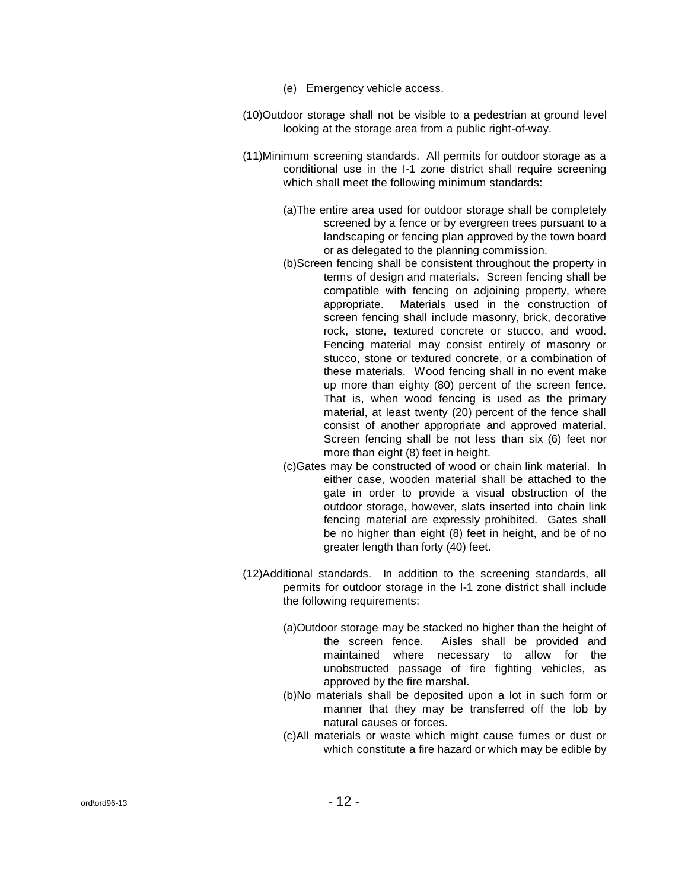- (e) Emergency vehicle access.
- (10)Outdoor storage shall not be visible to a pedestrian at ground level looking at the storage area from a public right-of-way.
- (11)Minimum screening standards. All permits for outdoor storage as a conditional use in the I-1 zone district shall require screening which shall meet the following minimum standards:
	- (a)The entire area used for outdoor storage shall be completely screened by a fence or by evergreen trees pursuant to a landscaping or fencing plan approved by the town board or as delegated to the planning commission.
	- (b)Screen fencing shall be consistent throughout the property in terms of design and materials. Screen fencing shall be compatible with fencing on adjoining property, where appropriate. Materials used in the construction of screen fencing shall include masonry, brick, decorative rock, stone, textured concrete or stucco, and wood. Fencing material may consist entirely of masonry or stucco, stone or textured concrete, or a combination of these materials. Wood fencing shall in no event make up more than eighty (80) percent of the screen fence. That is, when wood fencing is used as the primary material, at least twenty (20) percent of the fence shall consist of another appropriate and approved material. Screen fencing shall be not less than six (6) feet nor more than eight (8) feet in height.
	- (c)Gates may be constructed of wood or chain link material. In either case, wooden material shall be attached to the gate in order to provide a visual obstruction of the outdoor storage, however, slats inserted into chain link fencing material are expressly prohibited. Gates shall be no higher than eight (8) feet in height, and be of no greater length than forty (40) feet.
- (12)Additional standards. In addition to the screening standards, all permits for outdoor storage in the I-1 zone district shall include the following requirements:
	- (a)Outdoor storage may be stacked no higher than the height of the screen fence. Aisles shall be provided and maintained where necessary to allow for the unobstructed passage of fire fighting vehicles, as approved by the fire marshal.
	- (b)No materials shall be deposited upon a lot in such form or manner that they may be transferred off the lob by natural causes or forces.
	- (c)All materials or waste which might cause fumes or dust or which constitute a fire hazard or which may be edible by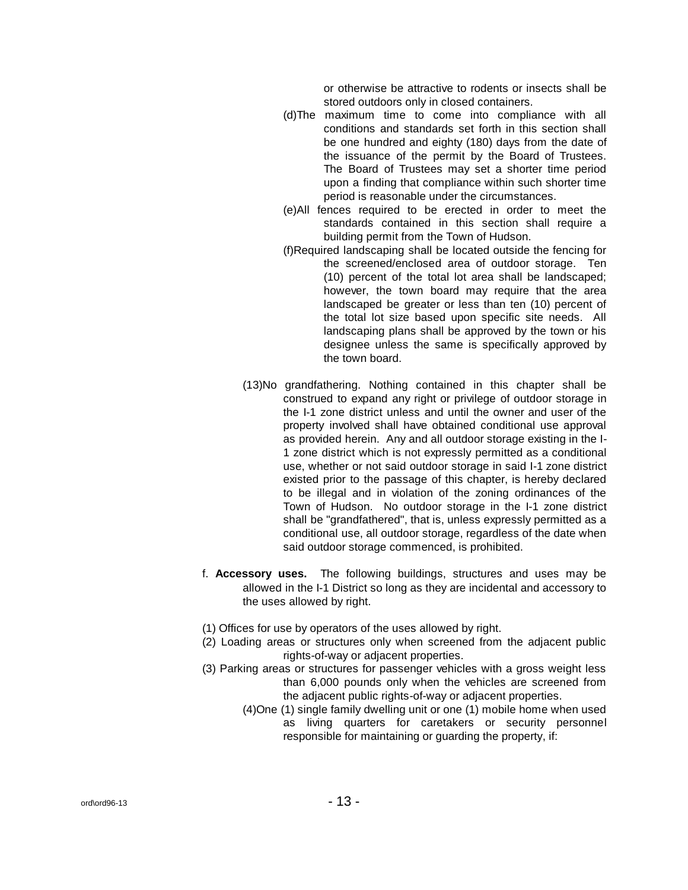or otherwise be attractive to rodents or insects shall be stored outdoors only in closed containers.

- (d)The maximum time to come into compliance with all conditions and standards set forth in this section shall be one hundred and eighty (180) days from the date of the issuance of the permit by the Board of Trustees. The Board of Trustees may set a shorter time period upon a finding that compliance within such shorter time period is reasonable under the circumstances.
- (e)All fences required to be erected in order to meet the standards contained in this section shall require a building permit from the Town of Hudson.
- (f)Required landscaping shall be located outside the fencing for the screened/enclosed area of outdoor storage. Ten (10) percent of the total lot area shall be landscaped; however, the town board may require that the area landscaped be greater or less than ten (10) percent of the total lot size based upon specific site needs. All landscaping plans shall be approved by the town or his designee unless the same is specifically approved by the town board.
- (13)No grandfathering. Nothing contained in this chapter shall be construed to expand any right or privilege of outdoor storage in the I-1 zone district unless and until the owner and user of the property involved shall have obtained conditional use approval as provided herein. Any and all outdoor storage existing in the I-1 zone district which is not expressly permitted as a conditional use, whether or not said outdoor storage in said I-1 zone district existed prior to the passage of this chapter, is hereby declared to be illegal and in violation of the zoning ordinances of the Town of Hudson. No outdoor storage in the I-1 zone district shall be "grandfathered", that is, unless expressly permitted as a conditional use, all outdoor storage, regardless of the date when said outdoor storage commenced, is prohibited.
- f. **Accessory uses.** The following buildings, structures and uses may be allowed in the I-1 District so long as they are incidental and accessory to the uses allowed by right.
- (1) Offices for use by operators of the uses allowed by right.
- (2) Loading areas or structures only when screened from the adjacent public rights-of-way or adjacent properties.
- (3) Parking areas or structures for passenger vehicles with a gross weight less than 6,000 pounds only when the vehicles are screened from the adjacent public rights-of-way or adjacent properties.
	- (4)One (1) single family dwelling unit or one (1) mobile home when used as living quarters for caretakers or security personnel responsible for maintaining or guarding the property, if: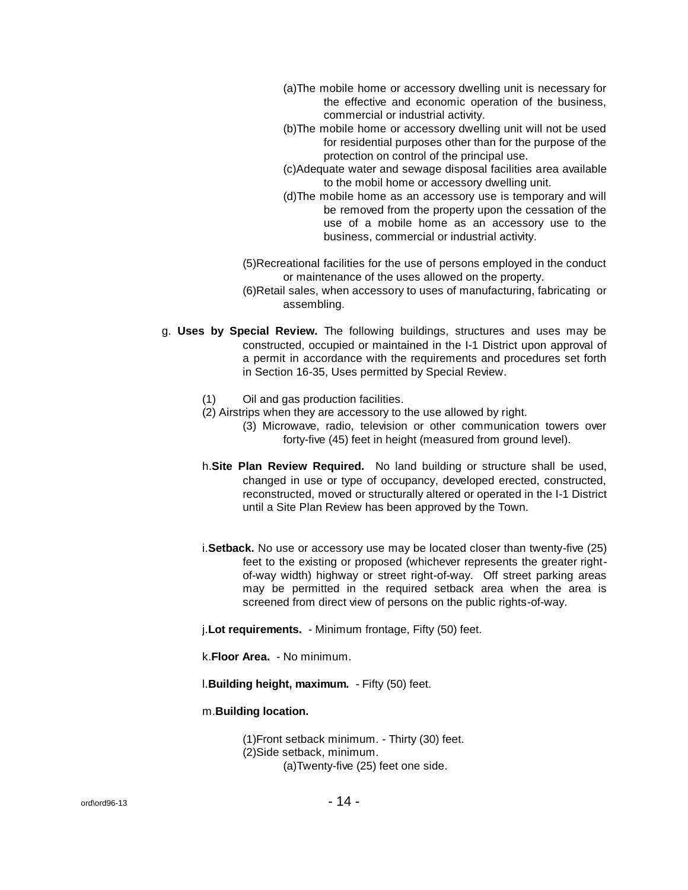- (a)The mobile home or accessory dwelling unit is necessary for the effective and economic operation of the business, commercial or industrial activity.
- (b)The mobile home or accessory dwelling unit will not be used for residential purposes other than for the purpose of the protection on control of the principal use.
- (c)Adequate water and sewage disposal facilities area available to the mobil home or accessory dwelling unit.
- (d)The mobile home as an accessory use is temporary and will be removed from the property upon the cessation of the use of a mobile home as an accessory use to the business, commercial or industrial activity.
- (5)Recreational facilities for the use of persons employed in the conduct or maintenance of the uses allowed on the property.
- (6)Retail sales, when accessory to uses of manufacturing, fabricating or assembling.
- g. **Uses by Special Review.** The following buildings, structures and uses may be constructed, occupied or maintained in the I-1 District upon approval of a permit in accordance with the requirements and procedures set forth in Section 16-35, Uses permitted by Special Review.
	- (1) Oil and gas production facilities.
	- (2) Airstrips when they are accessory to the use allowed by right.
		- (3) Microwave, radio, television or other communication towers over forty-five (45) feet in height (measured from ground level).
	- h.**Site Plan Review Required.** No land building or structure shall be used, changed in use or type of occupancy, developed erected, constructed, reconstructed, moved or structurally altered or operated in the I-1 District until a Site Plan Review has been approved by the Town.
	- i.**Setback.** No use or accessory use may be located closer than twenty-five (25) feet to the existing or proposed (whichever represents the greater rightof-way width) highway or street right-of-way. Off street parking areas may be permitted in the required setback area when the area is screened from direct view of persons on the public rights-of-way.
	- j.**Lot requirements.** Minimum frontage, Fifty (50) feet.
	- k.**Floor Area.** No minimum.
	- l.**Building height, maximum.** Fifty (50) feet.
	- m.**Building location.**

(1)Front setback minimum. - Thirty (30) feet. (2)Side setback, minimum. (a)Twenty-five (25) feet one side.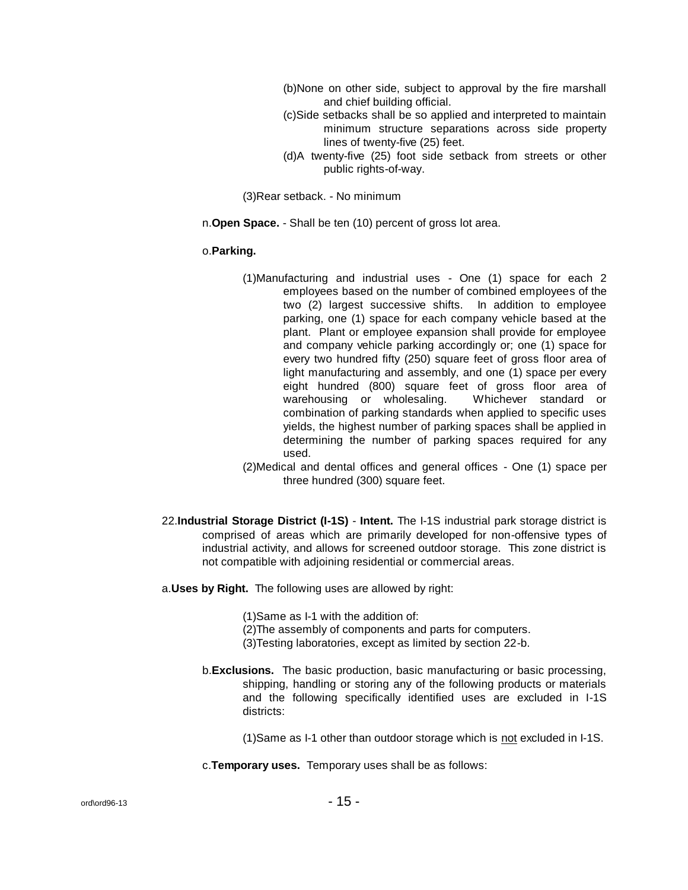- (b)None on other side, subject to approval by the fire marshall and chief building official.
- (c)Side setbacks shall be so applied and interpreted to maintain minimum structure separations across side property lines of twenty-five (25) feet.
- (d)A twenty-five (25) foot side setback from streets or other public rights-of-way.

(3)Rear setback. - No minimum

n.**Open Space.** - Shall be ten (10) percent of gross lot area.

# o.**Parking.**

- (1)Manufacturing and industrial uses One (1) space for each 2 employees based on the number of combined employees of the two (2) largest successive shifts. In addition to employee parking, one (1) space for each company vehicle based at the plant. Plant or employee expansion shall provide for employee and company vehicle parking accordingly or; one (1) space for every two hundred fifty (250) square feet of gross floor area of light manufacturing and assembly, and one (1) space per every eight hundred (800) square feet of gross floor area of warehousing or wholesaling. Whichever standard or combination of parking standards when applied to specific uses yields, the highest number of parking spaces shall be applied in determining the number of parking spaces required for any used.
- (2)Medical and dental offices and general offices One (1) space per three hundred (300) square feet.
- 22.**Industrial Storage District (I-1S) Intent.** The I-1S industrial park storage district is comprised of areas which are primarily developed for non-offensive types of industrial activity, and allows for screened outdoor storage. This zone district is not compatible with adjoining residential or commercial areas.
- a.**Uses by Right.** The following uses are allowed by right:
	- (1)Same as I-1 with the addition of:
	- (2)The assembly of components and parts for computers.
	- (3)Testing laboratories, except as limited by section 22-b.
	- b.**Exclusions.** The basic production, basic manufacturing or basic processing, shipping, handling or storing any of the following products or materials and the following specifically identified uses are excluded in I-1S districts:
		- (1)Same as I-1 other than outdoor storage which is not excluded in I-1S.
	- c.**Temporary uses.** Temporary uses shall be as follows: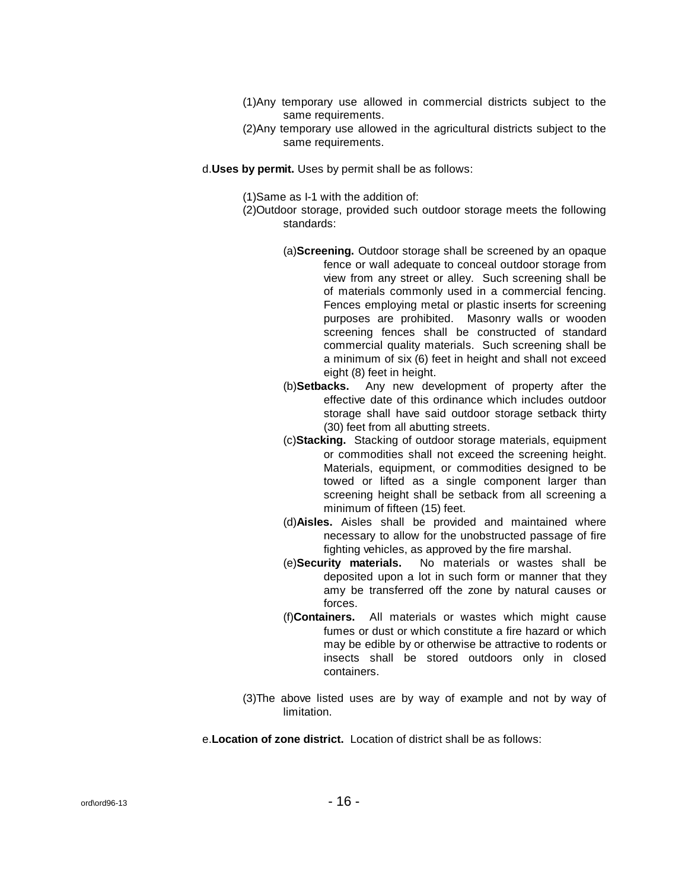- (1)Any temporary use allowed in commercial districts subject to the same requirements.
- (2)Any temporary use allowed in the agricultural districts subject to the same requirements.
- d.**Uses by permit.** Uses by permit shall be as follows:
	- (1)Same as I-1 with the addition of:
	- (2)Outdoor storage, provided such outdoor storage meets the following standards:
		- (a)**Screening.** Outdoor storage shall be screened by an opaque fence or wall adequate to conceal outdoor storage from view from any street or alley. Such screening shall be of materials commonly used in a commercial fencing. Fences employing metal or plastic inserts for screening purposes are prohibited. Masonry walls or wooden screening fences shall be constructed of standard commercial quality materials. Such screening shall be a minimum of six (6) feet in height and shall not exceed eight (8) feet in height.
		- (b)**Setbacks.** Any new development of property after the effective date of this ordinance which includes outdoor storage shall have said outdoor storage setback thirty (30) feet from all abutting streets.
		- (c)**Stacking.** Stacking of outdoor storage materials, equipment or commodities shall not exceed the screening height. Materials, equipment, or commodities designed to be towed or lifted as a single component larger than screening height shall be setback from all screening a minimum of fifteen (15) feet.
		- (d)**Aisles.** Aisles shall be provided and maintained where necessary to allow for the unobstructed passage of fire fighting vehicles, as approved by the fire marshal.
		- (e)**Security materials.** No materials or wastes shall be deposited upon a lot in such form or manner that they amy be transferred off the zone by natural causes or forces.
		- (f)**Containers.** All materials or wastes which might cause fumes or dust or which constitute a fire hazard or which may be edible by or otherwise be attractive to rodents or insects shall be stored outdoors only in closed containers.
	- (3)The above listed uses are by way of example and not by way of limitation.

e.**Location of zone district.** Location of district shall be as follows: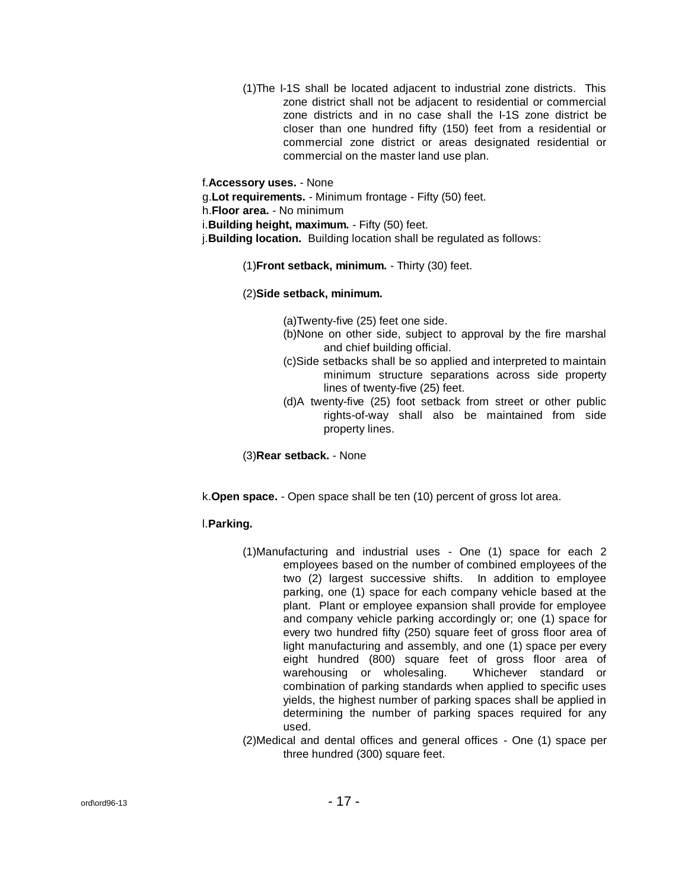(1)The I-1S shall be located adjacent to industrial zone districts. This zone district shall not be adjacent to residential or commercial zone districts and in no case shall the I-1S zone district be closer than one hundred fifty (150) feet from a residential or commercial zone district or areas designated residential or commercial on the master land use plan.

f.**Accessory uses.** - None

g.**Lot requirements.** - Minimum frontage - Fifty (50) feet.

h.**Floor area.** - No minimum

i.**Building height, maximum.** - Fifty (50) feet.

j.**Building location.** Building location shall be regulated as follows:

(1)**Front setback, minimum.** - Thirty (30) feet.

(2)**Side setback, minimum.**

(a)Twenty-five (25) feet one side.

- (b)None on other side, subject to approval by the fire marshal and chief building official.
- (c)Side setbacks shall be so applied and interpreted to maintain minimum structure separations across side property lines of twenty-five (25) feet.
- (d)A twenty-five (25) foot setback from street or other public rights-of-way shall also be maintained from side property lines.

(3)**Rear setback.** - None

k.**Open space.** - Open space shall be ten (10) percent of gross lot area.

# l.**Parking.**

- (1)Manufacturing and industrial uses One (1) space for each 2 employees based on the number of combined employees of the two (2) largest successive shifts. In addition to employee parking, one (1) space for each company vehicle based at the plant. Plant or employee expansion shall provide for employee and company vehicle parking accordingly or; one (1) space for every two hundred fifty (250) square feet of gross floor area of light manufacturing and assembly, and one (1) space per every eight hundred (800) square feet of gross floor area of warehousing or wholesaling. Whichever standard or combination of parking standards when applied to specific uses yields, the highest number of parking spaces shall be applied in determining the number of parking spaces required for any used.
- (2)Medical and dental offices and general offices One (1) space per three hundred (300) square feet.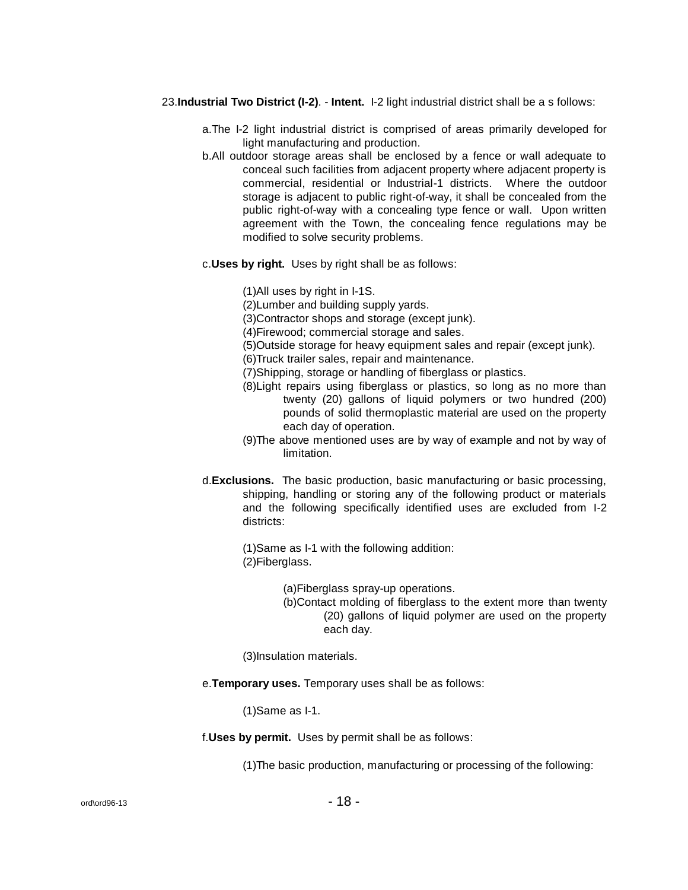- 23.**Industrial Two District (I-2)**. **Intent.** I-2 light industrial district shall be a s follows:
	- a.The I-2 light industrial district is comprised of areas primarily developed for light manufacturing and production.
	- b.All outdoor storage areas shall be enclosed by a fence or wall adequate to conceal such facilities from adjacent property where adjacent property is commercial, residential or Industrial-1 districts. Where the outdoor storage is adjacent to public right-of-way, it shall be concealed from the public right-of-way with a concealing type fence or wall. Upon written agreement with the Town, the concealing fence regulations may be modified to solve security problems.
	- c.**Uses by right.** Uses by right shall be as follows:

(1)All uses by right in I-1S.

(2)Lumber and building supply yards.

(3)Contractor shops and storage (except junk).

(4)Firewood; commercial storage and sales.

(5)Outside storage for heavy equipment sales and repair (except junk).

(6)Truck trailer sales, repair and maintenance.

(7)Shipping, storage or handling of fiberglass or plastics.

- (8)Light repairs using fiberglass or plastics, so long as no more than twenty (20) gallons of liquid polymers or two hundred (200) pounds of solid thermoplastic material are used on the property each day of operation.
- (9)The above mentioned uses are by way of example and not by way of limitation.
- d.**Exclusions.** The basic production, basic manufacturing or basic processing, shipping, handling or storing any of the following product or materials and the following specifically identified uses are excluded from I-2 districts:

(1)Same as I-1 with the following addition: (2)Fiberglass.

> (a)Fiberglass spray-up operations. (b)Contact molding of fiberglass to the extent more than twenty (20) gallons of liquid polymer are used on the property each day.

(3)Insulation materials.

e.**Temporary uses.** Temporary uses shall be as follows:

(1)Same as I-1.

f.**Uses by permit.** Uses by permit shall be as follows:

(1)The basic production, manufacturing or processing of the following: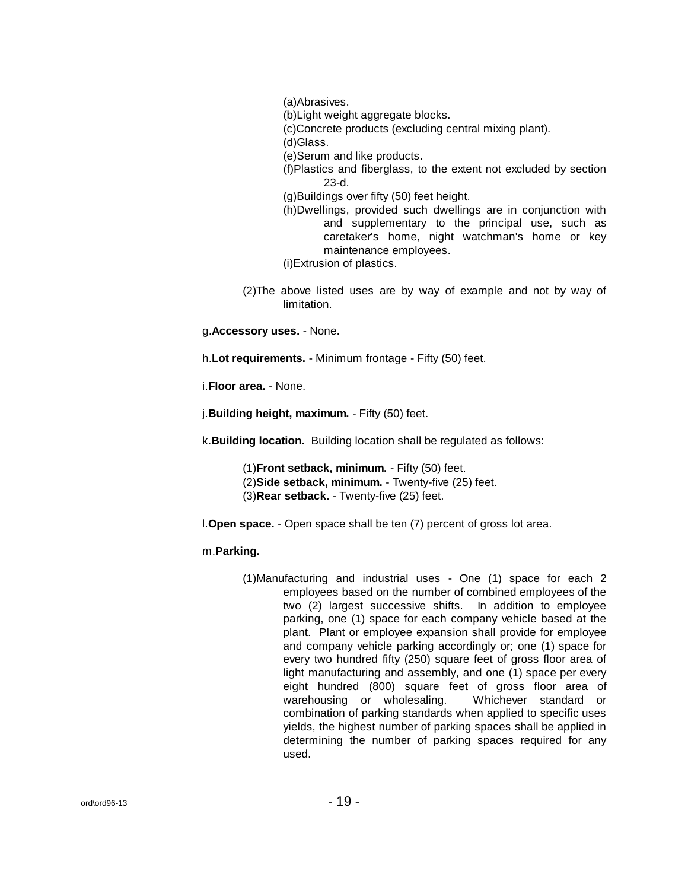(a)Abrasives.

(b)Light weight aggregate blocks.

(c)Concrete products (excluding central mixing plant).

(d)Glass.

(e)Serum and like products.

(f)Plastics and fiberglass, to the extent not excluded by section 23-d.

(g)Buildings over fifty (50) feet height.

(h)Dwellings, provided such dwellings are in conjunction with and supplementary to the principal use, such as caretaker's home, night watchman's home or key maintenance employees.

(i)Extrusion of plastics.

(2)The above listed uses are by way of example and not by way of limitation.

g.**Accessory uses.** - None.

h.**Lot requirements.** - Minimum frontage - Fifty (50) feet.

i.**Floor area.** - None.

j.**Building height, maximum.** - Fifty (50) feet.

k.**Building location.** Building location shall be regulated as follows:

(1)**Front setback, minimum.** - Fifty (50) feet. (2)**Side setback, minimum.** - Twenty-five (25) feet. (3)**Rear setback.** - Twenty-five (25) feet.

l.**Open space.** - Open space shall be ten (7) percent of gross lot area.

# m.**Parking.**

(1)Manufacturing and industrial uses - One (1) space for each 2 employees based on the number of combined employees of the two (2) largest successive shifts. In addition to employee parking, one (1) space for each company vehicle based at the plant. Plant or employee expansion shall provide for employee and company vehicle parking accordingly or; one (1) space for every two hundred fifty (250) square feet of gross floor area of light manufacturing and assembly, and one (1) space per every eight hundred (800) square feet of gross floor area of warehousing or wholesaling. Whichever standard or combination of parking standards when applied to specific uses yields, the highest number of parking spaces shall be applied in determining the number of parking spaces required for any used.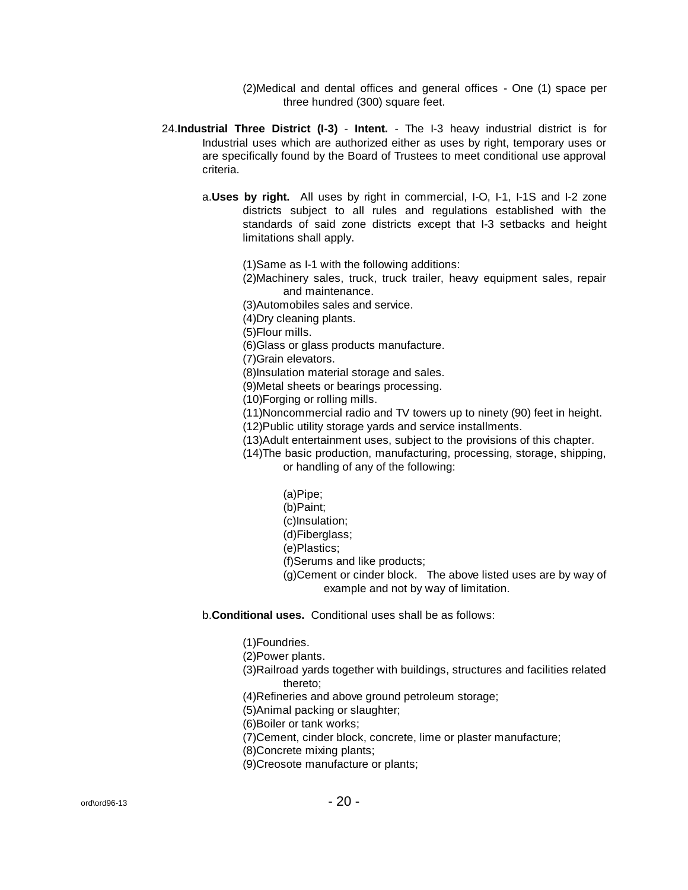(2)Medical and dental offices and general offices - One (1) space per three hundred (300) square feet.

- 24.**Industrial Three District (I-3) Intent.** The I-3 heavy industrial district is for Industrial uses which are authorized either as uses by right, temporary uses or are specifically found by the Board of Trustees to meet conditional use approval criteria.
	- a.**Uses by right.** All uses by right in commercial, I-O, I-1, I-1S and I-2 zone districts subject to all rules and regulations established with the standards of said zone districts except that I-3 setbacks and height limitations shall apply.

(1)Same as I-1 with the following additions:

(2)Machinery sales, truck, truck trailer, heavy equipment sales, repair and maintenance.

(3)Automobiles sales and service.

(4)Dry cleaning plants.

(5)Flour mills.

(6)Glass or glass products manufacture.

(7)Grain elevators.

(8)Insulation material storage and sales.

(9)Metal sheets or bearings processing.

(10)Forging or rolling mills.

(11)Noncommercial radio and TV towers up to ninety (90) feet in height.

(12)Public utility storage yards and service installments.

(13)Adult entertainment uses, subject to the provisions of this chapter.

(14)The basic production, manufacturing, processing, storage, shipping, or handling of any of the following:

> (a)Pipe; (b)Paint; (c)Insulation; (d)Fiberglass;

(e)Plastics;

(f)Serums and like products;

(g)Cement or cinder block. The above listed uses are by way of example and not by way of limitation.

b.**Conditional uses.** Conditional uses shall be as follows:

(1)Foundries.

(2)Power plants.

(3)Railroad yards together with buildings, structures and facilities related thereto;

(4)Refineries and above ground petroleum storage;

(5)Animal packing or slaughter;

(6)Boiler or tank works;

(7)Cement, cinder block, concrete, lime or plaster manufacture;

(8)Concrete mixing plants;

(9)Creosote manufacture or plants;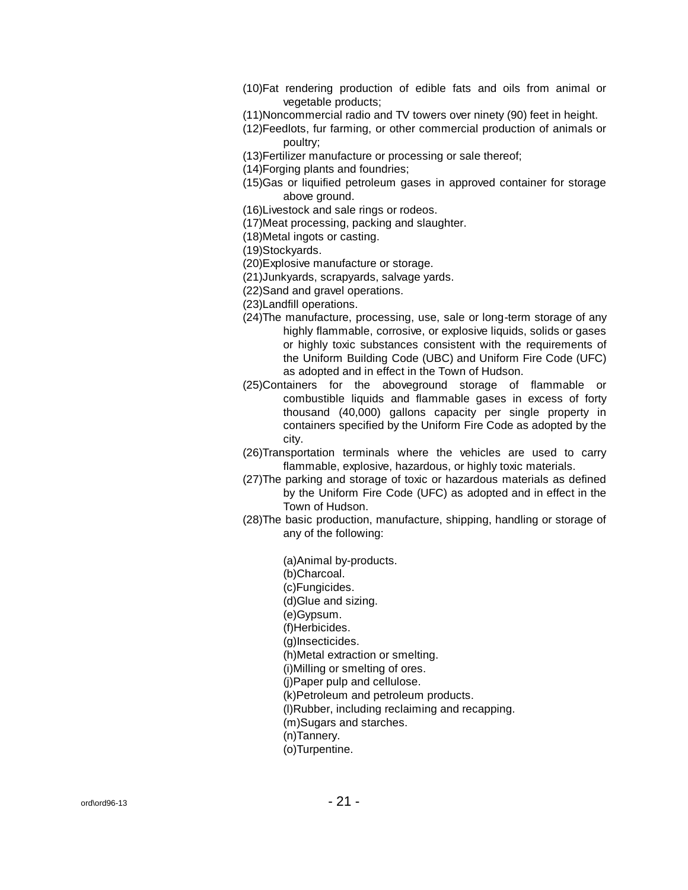- (10)Fat rendering production of edible fats and oils from animal or vegetable products;
- (11)Noncommercial radio and TV towers over ninety (90) feet in height.
- (12)Feedlots, fur farming, or other commercial production of animals or poultry;
- (13)Fertilizer manufacture or processing or sale thereof;
- (14)Forging plants and foundries;
- (15)Gas or liquified petroleum gases in approved container for storage above ground.
- (16)Livestock and sale rings or rodeos.
- (17)Meat processing, packing and slaughter.
- (18)Metal ingots or casting.

(19)Stockyards.

- (20)Explosive manufacture or storage.
- (21)Junkyards, scrapyards, salvage yards.
- (22)Sand and gravel operations.
- (23)Landfill operations.
- (24)The manufacture, processing, use, sale or long-term storage of any highly flammable, corrosive, or explosive liquids, solids or gases or highly toxic substances consistent with the requirements of the Uniform Building Code (UBC) and Uniform Fire Code (UFC) as adopted and in effect in the Town of Hudson.
- (25)Containers for the aboveground storage of flammable or combustible liquids and flammable gases in excess of forty thousand (40,000) gallons capacity per single property in containers specified by the Uniform Fire Code as adopted by the city.
- (26)Transportation terminals where the vehicles are used to carry flammable, explosive, hazardous, or highly toxic materials.
- (27)The parking and storage of toxic or hazardous materials as defined by the Uniform Fire Code (UFC) as adopted and in effect in the Town of Hudson.
- (28)The basic production, manufacture, shipping, handling or storage of any of the following:

(a)Animal by-products. (b)Charcoal. (c)Fungicides. (d)Glue and sizing. (e)Gypsum. (f)Herbicides. (g)Insecticides. (h)Metal extraction or smelting. (i)Milling or smelting of ores. (j)Paper pulp and cellulose. (k)Petroleum and petroleum products. (l)Rubber, including reclaiming and recapping. (m)Sugars and starches. (n)Tannery. (o)Turpentine.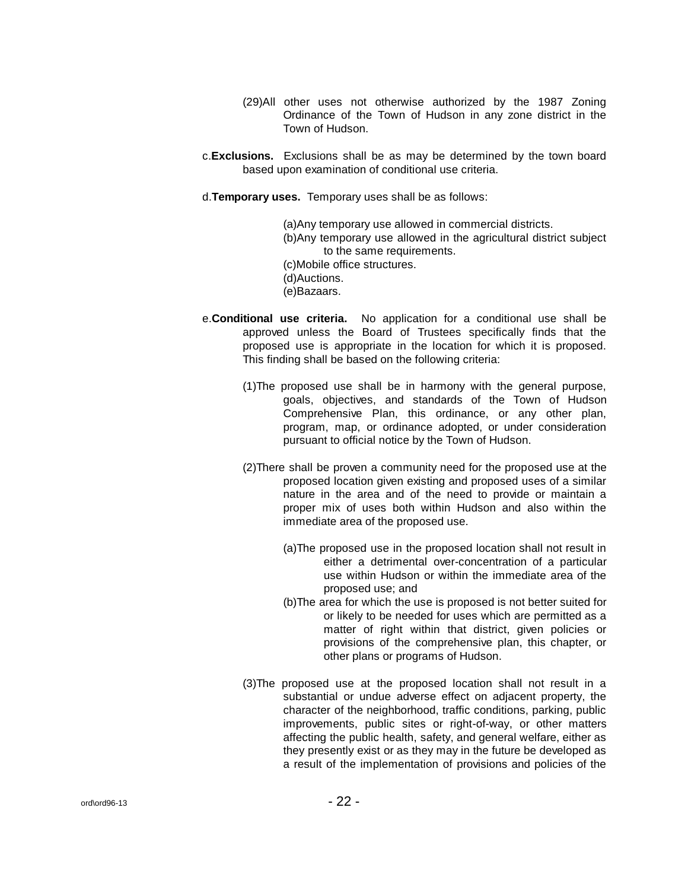- (29)All other uses not otherwise authorized by the 1987 Zoning Ordinance of the Town of Hudson in any zone district in the Town of Hudson.
- c.**Exclusions.** Exclusions shall be as may be determined by the town board based upon examination of conditional use criteria.
- d.**Temporary uses.** Temporary uses shall be as follows:

(a)Any temporary use allowed in commercial districts. (b)Any temporary use allowed in the agricultural district subject to the same requirements. (c)Mobile office structures. (d)Auctions. (e)Bazaars.

- e.**Conditional use criteria.** No application for a conditional use shall be approved unless the Board of Trustees specifically finds that the proposed use is appropriate in the location for which it is proposed. This finding shall be based on the following criteria:
	- (1)The proposed use shall be in harmony with the general purpose, goals, objectives, and standards of the Town of Hudson Comprehensive Plan, this ordinance, or any other plan, program, map, or ordinance adopted, or under consideration pursuant to official notice by the Town of Hudson.
	- (2)There shall be proven a community need for the proposed use at the proposed location given existing and proposed uses of a similar nature in the area and of the need to provide or maintain a proper mix of uses both within Hudson and also within the immediate area of the proposed use.
		- (a)The proposed use in the proposed location shall not result in either a detrimental over-concentration of a particular use within Hudson or within the immediate area of the proposed use; and
		- (b)The area for which the use is proposed is not better suited for or likely to be needed for uses which are permitted as a matter of right within that district, given policies or provisions of the comprehensive plan, this chapter, or other plans or programs of Hudson.
	- (3)The proposed use at the proposed location shall not result in a substantial or undue adverse effect on adjacent property, the character of the neighborhood, traffic conditions, parking, public improvements, public sites or right-of-way, or other matters affecting the public health, safety, and general welfare, either as they presently exist or as they may in the future be developed as a result of the implementation of provisions and policies of the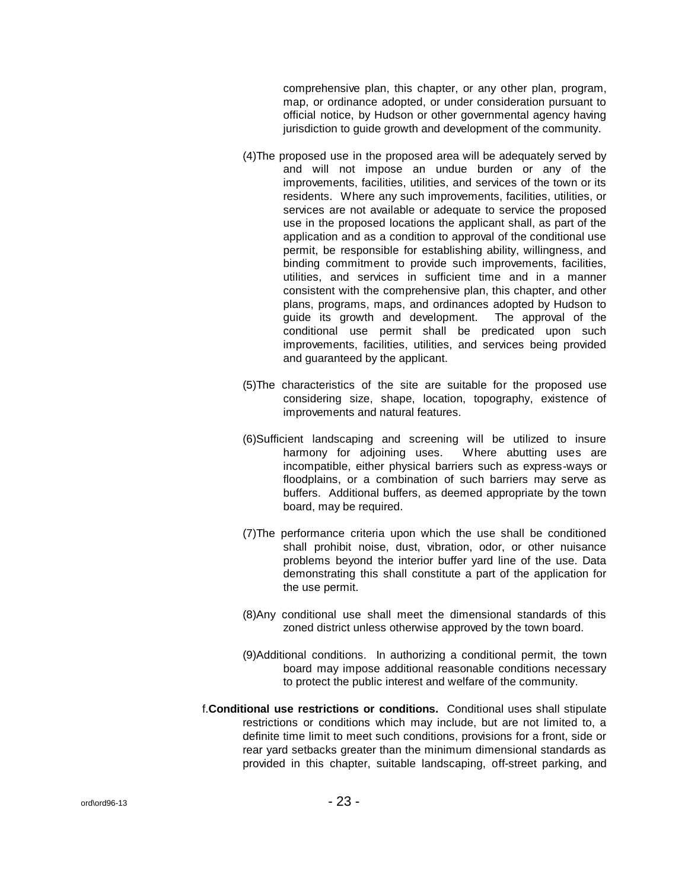comprehensive plan, this chapter, or any other plan, program, map, or ordinance adopted, or under consideration pursuant to official notice, by Hudson or other governmental agency having jurisdiction to quide growth and development of the community.

- (4)The proposed use in the proposed area will be adequately served by and will not impose an undue burden or any of the improvements, facilities, utilities, and services of the town or its residents. Where any such improvements, facilities, utilities, or services are not available or adequate to service the proposed use in the proposed locations the applicant shall, as part of the application and as a condition to approval of the conditional use permit, be responsible for establishing ability, willingness, and binding commitment to provide such improvements, facilities, utilities, and services in sufficient time and in a manner consistent with the comprehensive plan, this chapter, and other plans, programs, maps, and ordinances adopted by Hudson to guide its growth and development. The approval of the conditional use permit shall be predicated upon such improvements, facilities, utilities, and services being provided and guaranteed by the applicant.
- (5)The characteristics of the site are suitable for the proposed use considering size, shape, location, topography, existence of improvements and natural features.
- (6)Sufficient landscaping and screening will be utilized to insure harmony for adjoining uses. Where abutting uses are incompatible, either physical barriers such as express-ways or floodplains, or a combination of such barriers may serve as buffers. Additional buffers, as deemed appropriate by the town board, may be required.
- (7)The performance criteria upon which the use shall be conditioned shall prohibit noise, dust, vibration, odor, or other nuisance problems beyond the interior buffer yard line of the use. Data demonstrating this shall constitute a part of the application for the use permit.
- (8)Any conditional use shall meet the dimensional standards of this zoned district unless otherwise approved by the town board.
- (9)Additional conditions. In authorizing a conditional permit, the town board may impose additional reasonable conditions necessary to protect the public interest and welfare of the community.
- f.**Conditional use restrictions or conditions.** Conditional uses shall stipulate restrictions or conditions which may include, but are not limited to, a definite time limit to meet such conditions, provisions for a front, side or rear yard setbacks greater than the minimum dimensional standards as provided in this chapter, suitable landscaping, off-street parking, and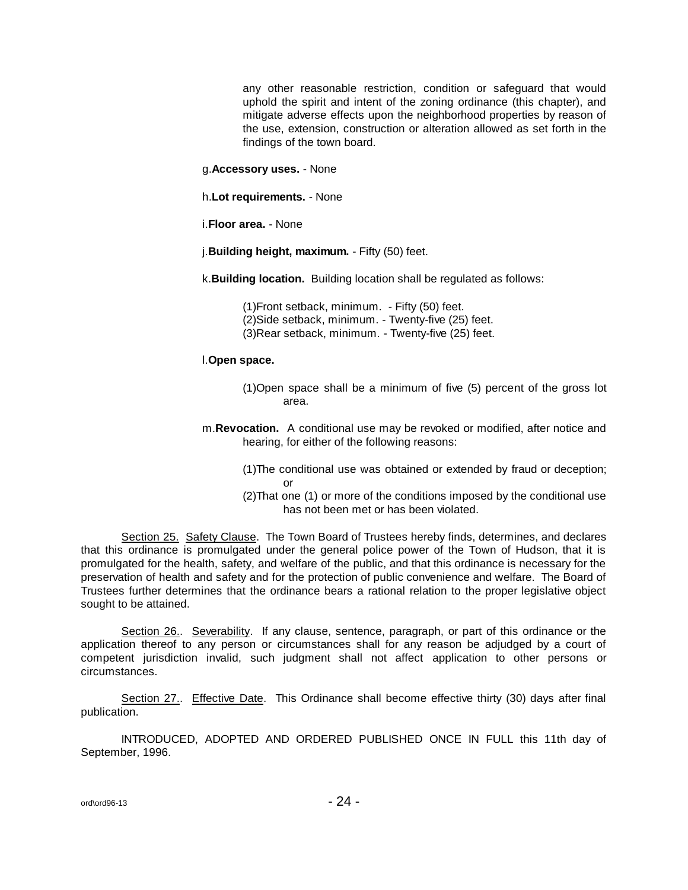any other reasonable restriction, condition or safeguard that would uphold the spirit and intent of the zoning ordinance (this chapter), and mitigate adverse effects upon the neighborhood properties by reason of the use, extension, construction or alteration allowed as set forth in the findings of the town board.

g.**Accessory uses.** - None

h.**Lot requirements.** - None

i.**Floor area.** - None

j.**Building height, maximum.** - Fifty (50) feet.

k.**Building location.** Building location shall be regulated as follows:

(1)Front setback, minimum. - Fifty (50) feet. (2)Side setback, minimum. - Twenty-five (25) feet. (3)Rear setback, minimum. - Twenty-five (25) feet.

l.**Open space.**

- (1)Open space shall be a minimum of five (5) percent of the gross lot area.
- m.**Revocation.** A conditional use may be revoked or modified, after notice and hearing, for either of the following reasons:
	- (1)The conditional use was obtained or extended by fraud or deception; or
	- (2)That one (1) or more of the conditions imposed by the conditional use has not been met or has been violated.

Section 25. Safety Clause. The Town Board of Trustees hereby finds, determines, and declares that this ordinance is promulgated under the general police power of the Town of Hudson, that it is promulgated for the health, safety, and welfare of the public, and that this ordinance is necessary for the preservation of health and safety and for the protection of public convenience and welfare. The Board of Trustees further determines that the ordinance bears a rational relation to the proper legislative object sought to be attained.

Section 26.. Severability. If any clause, sentence, paragraph, or part of this ordinance or the application thereof to any person or circumstances shall for any reason be adjudged by a court of competent jurisdiction invalid, such judgment shall not affect application to other persons or circumstances.

Section 27.. Effective Date. This Ordinance shall become effective thirty (30) days after final publication.

INTRODUCED, ADOPTED AND ORDERED PUBLISHED ONCE IN FULL this 11th day of September, 1996.